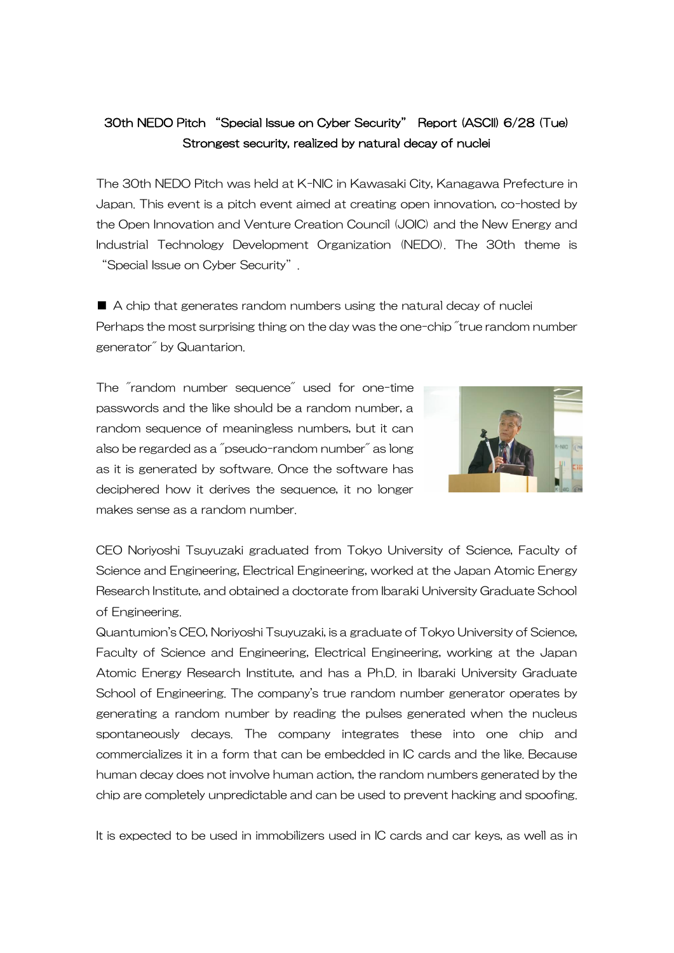## 30th NEDO Pitch "Special Issue on Cyber Security" Report (ASCII) 6/28 (Tue) Strongest security, realized by natural decay of nuclei

The 30th NEDO Pitch was held at K-NIC in Kawasaki City, Kanagawa Prefecture in Japan. This event is a pitch event aimed at creating open innovation, co-hosted by the Open Innovation and Venture Creation Council (JOIC) and the New Energy and Industrial Technology Development Organization (NEDO). The 30th theme is "Special Issue on Cyber Security".

■ A chip that generates random numbers using the natural decay of nuclei Perhaps the most surprising thing on the day was the one-chip "true random number generator" by Quantarion.

The "random number sequence" used for one-time passwords and the like should be a random number, a random sequence of meaningless numbers, but it can also be regarded as a "pseudo-random number" as long as it is generated by software. Once the software has deciphered how it derives the sequence, it no longer makes sense as a random number.



CEO Noriyoshi Tsuyuzaki graduated from Tokyo University of Science, Faculty of Science and Engineering, Electrical Engineering, worked at the Japan Atomic Energy Research Institute, and obtained a doctorate from Ibaraki University Graduate School of Engineering.

Quantumion's CEO, Noriyoshi Tsuyuzaki, is a graduate of Tokyo University of Science, Faculty of Science and Engineering, Electrical Engineering, working at the Japan Atomic Energy Research Institute, and has a Ph.D. in Ibaraki University Graduate School of Engineering. The company's true random number generator operates by generating a random number by reading the pulses generated when the nucleus spontaneously decays. The company integrates these into one chip and commercializes it in a form that can be embedded in IC cards and the like. Because human decay does not involve human action, the random numbers generated by the chip are completely unpredictable and can be used to prevent hacking and spoofing.

It is expected to be used in immobilizers used in IC cards and car keys, as well as in